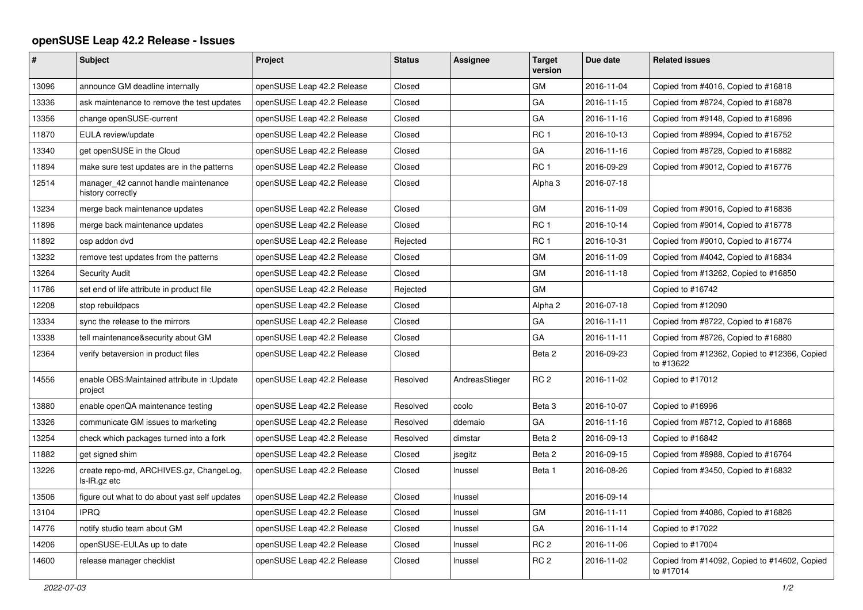## **openSUSE Leap 42.2 Release - Issues**

| $\pmb{\#}$ | <b>Subject</b>                                            | Project                    | <b>Status</b> | <b>Assignee</b> | <b>Target</b><br>version | Due date   | <b>Related issues</b>                                     |
|------------|-----------------------------------------------------------|----------------------------|---------------|-----------------|--------------------------|------------|-----------------------------------------------------------|
| 13096      | announce GM deadline internally                           | openSUSE Leap 42.2 Release | Closed        |                 | GM                       | 2016-11-04 | Copied from #4016, Copied to #16818                       |
| 13336      | ask maintenance to remove the test updates                | openSUSE Leap 42.2 Release | Closed        |                 | GA                       | 2016-11-15 | Copied from #8724, Copied to #16878                       |
| 13356      | change openSUSE-current                                   | openSUSE Leap 42.2 Release | Closed        |                 | GA                       | 2016-11-16 | Copied from #9148, Copied to #16896                       |
| 11870      | EULA review/update                                        | openSUSE Leap 42.2 Release | Closed        |                 | RC <sub>1</sub>          | 2016-10-13 | Copied from #8994, Copied to #16752                       |
| 13340      | get openSUSE in the Cloud                                 | openSUSE Leap 42.2 Release | Closed        |                 | GA                       | 2016-11-16 | Copied from #8728, Copied to #16882                       |
| 11894      | make sure test updates are in the patterns                | openSUSE Leap 42.2 Release | Closed        |                 | RC <sub>1</sub>          | 2016-09-29 | Copied from #9012, Copied to #16776                       |
| 12514      | manager 42 cannot handle maintenance<br>history correctly | openSUSE Leap 42.2 Release | Closed        |                 | Alpha <sub>3</sub>       | 2016-07-18 |                                                           |
| 13234      | merge back maintenance updates                            | openSUSE Leap 42.2 Release | Closed        |                 | GM                       | 2016-11-09 | Copied from #9016, Copied to #16836                       |
| 11896      | merge back maintenance updates                            | openSUSE Leap 42.2 Release | Closed        |                 | RC <sub>1</sub>          | 2016-10-14 | Copied from #9014, Copied to #16778                       |
| 11892      | osp addon dvd                                             | openSUSE Leap 42.2 Release | Rejected      |                 | RC <sub>1</sub>          | 2016-10-31 | Copied from #9010, Copied to #16774                       |
| 13232      | remove test updates from the patterns                     | openSUSE Leap 42.2 Release | Closed        |                 | GM                       | 2016-11-09 | Copied from #4042, Copied to #16834                       |
| 13264      | <b>Security Audit</b>                                     | openSUSE Leap 42.2 Release | Closed        |                 | <b>GM</b>                | 2016-11-18 | Copied from #13262, Copied to #16850                      |
| 11786      | set end of life attribute in product file                 | openSUSE Leap 42.2 Release | Rejected      |                 | GM                       |            | Copied to #16742                                          |
| 12208      | stop rebuildpacs                                          | openSUSE Leap 42.2 Release | Closed        |                 | Alpha <sub>2</sub>       | 2016-07-18 | Copied from #12090                                        |
| 13334      | sync the release to the mirrors                           | openSUSE Leap 42.2 Release | Closed        |                 | GA                       | 2016-11-11 | Copied from #8722, Copied to #16876                       |
| 13338      | tell maintenance&security about GM                        | openSUSE Leap 42.2 Release | Closed        |                 | GA                       | 2016-11-11 | Copied from #8726, Copied to #16880                       |
| 12364      | verify betaversion in product files                       | openSUSE Leap 42.2 Release | Closed        |                 | Beta 2                   | 2016-09-23 | Copied from #12362, Copied to #12366, Copied<br>to #13622 |
| 14556      | enable OBS:Maintained attribute in :Update<br>project     | openSUSE Leap 42.2 Release | Resolved      | AndreasStieger  | RC <sub>2</sub>          | 2016-11-02 | Copied to #17012                                          |
| 13880      | enable openQA maintenance testing                         | openSUSE Leap 42.2 Release | Resolved      | coolo           | Beta <sub>3</sub>        | 2016-10-07 | Copied to #16996                                          |
| 13326      | communicate GM issues to marketing                        | openSUSE Leap 42.2 Release | Resolved      | ddemaio         | GA                       | 2016-11-16 | Copied from #8712, Copied to #16868                       |
| 13254      | check which packages turned into a fork                   | openSUSE Leap 42.2 Release | Resolved      | dimstar         | Beta 2                   | 2016-09-13 | Copied to #16842                                          |
| 11882      | get signed shim                                           | openSUSE Leap 42.2 Release | Closed        | jsegitz         | Beta 2                   | 2016-09-15 | Copied from #8988, Copied to #16764                       |
| 13226      | create repo-md, ARCHIVES.gz, ChangeLog,<br>ls-IR.gz etc   | openSUSE Leap 42.2 Release | Closed        | Inussel         | Beta 1                   | 2016-08-26 | Copied from #3450, Copied to #16832                       |
| 13506      | figure out what to do about yast self updates             | openSUSE Leap 42.2 Release | Closed        | Inussel         |                          | 2016-09-14 |                                                           |
| 13104      | <b>IPRO</b>                                               | openSUSE Leap 42.2 Release | Closed        | Inussel         | GM                       | 2016-11-11 | Copied from #4086, Copied to #16826                       |
| 14776      | notify studio team about GM                               | openSUSE Leap 42.2 Release | Closed        | Inussel         | GA                       | 2016-11-14 | Copied to #17022                                          |
| 14206      | openSUSE-EULAs up to date                                 | openSUSE Leap 42.2 Release | Closed        | Inussel         | RC <sub>2</sub>          | 2016-11-06 | Copied to #17004                                          |
| 14600      | release manager checklist                                 | openSUSE Leap 42.2 Release | Closed        | Inussel         | RC <sub>2</sub>          | 2016-11-02 | Copied from #14092, Copied to #14602, Copied<br>to #17014 |